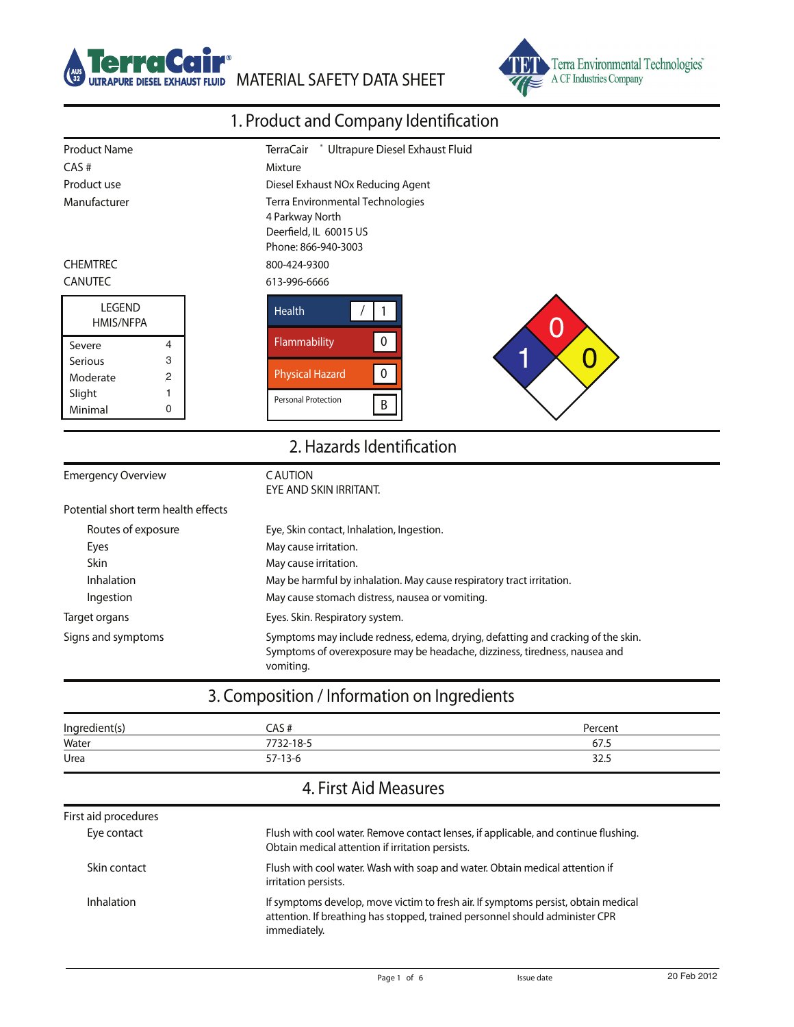



## 1. Product and Company Identification

| <b>Product Name</b><br>Ultrapure Diesel Exhaust Fluid<br><b>TerraCair</b> |                                                                                                                                                                             |  |  |
|---------------------------------------------------------------------------|-----------------------------------------------------------------------------------------------------------------------------------------------------------------------------|--|--|
| CAS#                                                                      | Mixture                                                                                                                                                                     |  |  |
| Product use                                                               | Diesel Exhaust NOx Reducing Agent                                                                                                                                           |  |  |
| Manufacturer                                                              | Terra Environmental Technologies                                                                                                                                            |  |  |
|                                                                           | 4 Parkway North                                                                                                                                                             |  |  |
|                                                                           | Deerfield, IL 60015 US                                                                                                                                                      |  |  |
|                                                                           | Phone: 866-940-3003                                                                                                                                                         |  |  |
| <b>CHEMTREC</b>                                                           | 800-424-9300                                                                                                                                                                |  |  |
| <b>CANUTEC</b>                                                            | 613-996-6666                                                                                                                                                                |  |  |
| <b>LEGEND</b>                                                             | <b>Health</b>                                                                                                                                                               |  |  |
| HMIS/NFPA                                                                 |                                                                                                                                                                             |  |  |
| 4<br>Severe                                                               | $\pmb{0}$<br>Flammability                                                                                                                                                   |  |  |
| 3<br><b>Serious</b>                                                       | ۴<br>O                                                                                                                                                                      |  |  |
| $\overline{c}$<br>Moderate                                                | $\pmb{0}$<br><b>Physical Hazard</b>                                                                                                                                         |  |  |
| Slight<br>1                                                               | <b>Personal Protection</b>                                                                                                                                                  |  |  |
| Minimal<br>0                                                              | B                                                                                                                                                                           |  |  |
|                                                                           | 2. Hazards Identification                                                                                                                                                   |  |  |
| <b>Emergency Overview</b>                                                 | <b>CAUTION</b><br>EYE AND SKIN IRRITANT.                                                                                                                                    |  |  |
| Potential short term health effects                                       |                                                                                                                                                                             |  |  |
| Routes of exposure                                                        | Eye, Skin contact, Inhalation, Ingestion.                                                                                                                                   |  |  |
| Eyes                                                                      | May cause irritation.                                                                                                                                                       |  |  |
| Skin                                                                      | May cause irritation.                                                                                                                                                       |  |  |
| Inhalation                                                                | May be harmful by inhalation. May cause respiratory tract irritation.                                                                                                       |  |  |
| Ingestion                                                                 | May cause stomach distress, nausea or vomiting.                                                                                                                             |  |  |
| Target organs                                                             | Eyes. Skin. Respiratory system.                                                                                                                                             |  |  |
| Signs and symptoms                                                        | Symptoms may include redness, edema, drying, defatting and cracking of the skin.<br>Symptoms of overexposure may be headache, dizziness, tiredness, nausea and<br>vomiting. |  |  |

## 3. Composition / Information on Ingredients

| Ingredient(s) | :AS #     | Percent |
|---------------|-----------|---------|
| Water         | 7732-18-5 | 67.5    |
| Urea          | $57-13-6$ | 32.5    |

## 4. First Aid Measures

| First aid procedures |                                                                                                                                                                                    |
|----------------------|------------------------------------------------------------------------------------------------------------------------------------------------------------------------------------|
| Eye contact          | Flush with cool water. Remove contact lenses, if applicable, and continue flushing.<br>Obtain medical attention if irritation persists.                                            |
| Skin contact         | Flush with cool water. Wash with soap and water. Obtain medical attention if<br>irritation persists.                                                                               |
| Inhalation           | If symptoms develop, move victim to fresh air. If symptoms persist, obtain medical<br>attention. If breathing has stopped, trained personnel should administer CPR<br>immediately. |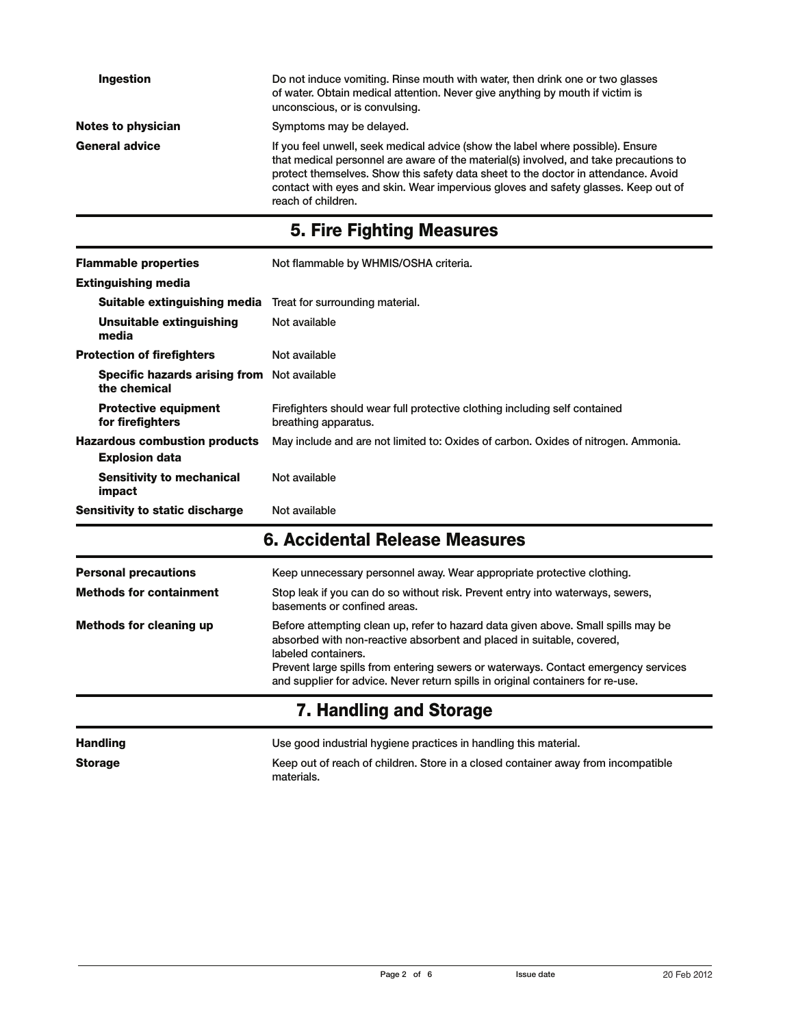| Ingestion                 | Do not induce vomiting. Rinse mouth with water, then drink one or two glasses<br>of water. Obtain medical attention. Never give anything by mouth if victim is<br>unconscious, or is convulsing.                                                                                                                                                                           |
|---------------------------|----------------------------------------------------------------------------------------------------------------------------------------------------------------------------------------------------------------------------------------------------------------------------------------------------------------------------------------------------------------------------|
| <b>Notes to physician</b> | Symptoms may be delayed.                                                                                                                                                                                                                                                                                                                                                   |
| <b>General advice</b>     | If you feel unwell, seek medical advice (show the label where possible). Ensure<br>that medical personnel are aware of the material(s) involved, and take precautions to<br>protect themselves. Show this safety data sheet to the doctor in attendance. Avoid<br>contact with eyes and skin. Wear impervious gloves and safety glasses. Keep out of<br>reach of children. |

# 5. Fire Fighting Measures

| <b>Flammable properties</b><br><b>Extinguishing media</b>           | Not flammable by WHMIS/OSHA criteria.                                                              |
|---------------------------------------------------------------------|----------------------------------------------------------------------------------------------------|
| <b>Suitable extinguishing media</b> Treat for surrounding material. |                                                                                                    |
| Unsuitable extinguishing<br>media                                   | Not available                                                                                      |
| <b>Protection of firefighters</b>                                   | Not available                                                                                      |
| <b>Specific hazards arising from</b> Not available<br>the chemical  |                                                                                                    |
| <b>Protective equipment</b><br>for firefighters                     | Firefighters should wear full protective clothing including self contained<br>breathing apparatus. |
| <b>Hazardous combustion products</b><br><b>Explosion data</b>       | May include and are not limited to: Oxides of carbon. Oxides of nitrogen. Ammonia.                 |
| <b>Sensitivity to mechanical</b><br>impact                          | Not available                                                                                      |
| Sensitivity to static discharge                                     | Not available                                                                                      |

## 6. Accidental Release Measures

| <b>Personal precautions</b>    | Keep unnecessary personnel away. Wear appropriate protective clothing.                                                                                                                                                                                                                                                                                     |
|--------------------------------|------------------------------------------------------------------------------------------------------------------------------------------------------------------------------------------------------------------------------------------------------------------------------------------------------------------------------------------------------------|
| <b>Methods for containment</b> | Stop leak if you can do so without risk. Prevent entry into waterways, sewers,<br>basements or confined areas.                                                                                                                                                                                                                                             |
| <b>Methods for cleaning up</b> | Before attempting clean up, refer to hazard data given above. Small spills may be<br>absorbed with non-reactive absorbent and placed in suitable, covered,<br>labeled containers.<br>Prevent large spills from entering sewers or waterways. Contact emergency services<br>and supplier for advice. Never return spills in original containers for re-use. |
|                                | 7. Handling and Storage                                                                                                                                                                                                                                                                                                                                    |

| <b>Handling</b> | Use good industrial hygiene practices in handling this material.                                |
|-----------------|-------------------------------------------------------------------------------------------------|
| <b>Storage</b>  | Keep out of reach of children. Store in a closed container away from incompatible<br>materials. |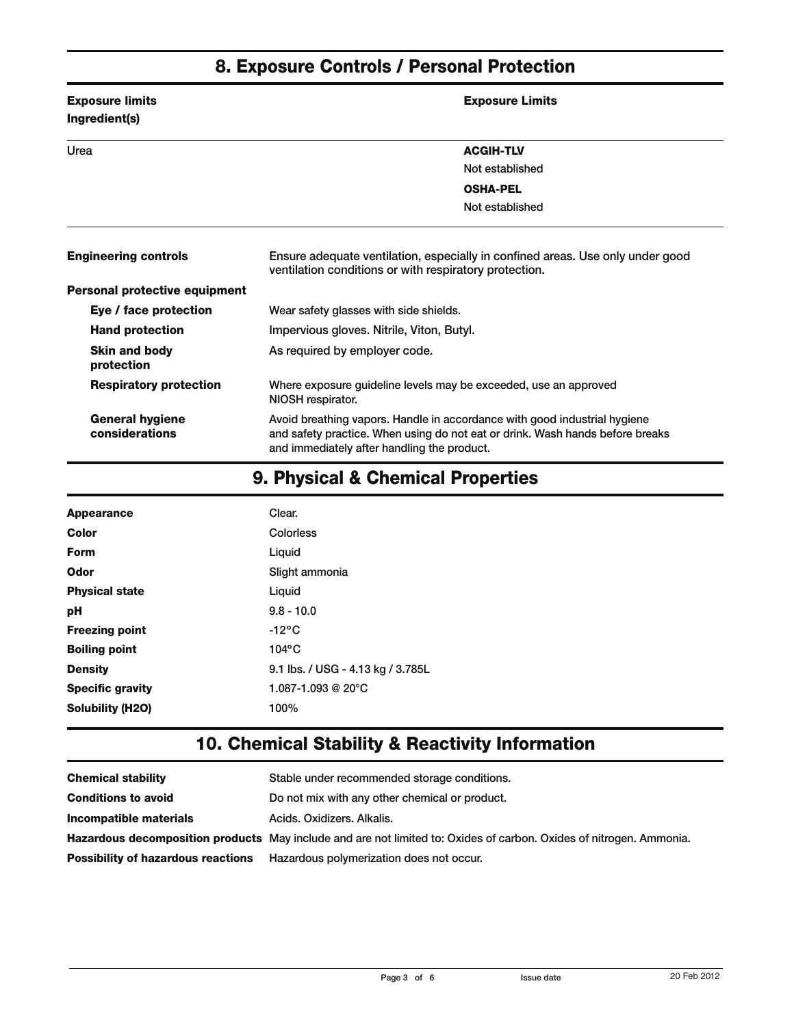## 8. Exposure Controls / Personal Protection

| <b>Exposure limits</b><br>Ingredient(s)  | <b>Exposure Limits</b>                                                                                                                                                                                    |  |
|------------------------------------------|-----------------------------------------------------------------------------------------------------------------------------------------------------------------------------------------------------------|--|
| Urea                                     | <b>ACGIH-TLV</b>                                                                                                                                                                                          |  |
|                                          | Not established                                                                                                                                                                                           |  |
|                                          | <b>OSHA-PEL</b>                                                                                                                                                                                           |  |
|                                          | Not established                                                                                                                                                                                           |  |
| <b>Engineering controls</b>              | Ensure adequate ventilation, especially in confined areas. Use only under good<br>ventilation conditions or with respiratory protection.                                                                  |  |
| <b>Personal protective equipment</b>     |                                                                                                                                                                                                           |  |
| Eye / face protection                    | Wear safety glasses with side shields.                                                                                                                                                                    |  |
| <b>Hand protection</b>                   | Impervious gloves. Nitrile, Viton, Butyl.                                                                                                                                                                 |  |
| <b>Skin and body</b><br>protection       | As required by employer code.                                                                                                                                                                             |  |
| <b>Respiratory protection</b>            | Where exposure guideline levels may be exceeded, use an approved<br>NIOSH respirator.                                                                                                                     |  |
| <b>General hygiene</b><br>considerations | Avoid breathing vapors. Handle in accordance with good industrial hygiene<br>and safety practice. When using do not eat or drink. Wash hands before breaks<br>and immediately after handling the product. |  |

## 9. Physical & Chemical Properties

| <b>Appearance</b>       | Clear.                            |
|-------------------------|-----------------------------------|
| Color                   | Colorless                         |
| Form                    | Liquid                            |
| Odor                    | Slight ammonia                    |
| <b>Physical state</b>   | Liquid                            |
| рH                      | $9.8 - 10.0$                      |
| <b>Freezing point</b>   | $-12^{\circ}$ C                   |
| <b>Boiling point</b>    | $104$ °C                          |
| <b>Density</b>          | 9.1 lbs. / USG - 4.13 kg / 3.785L |
| <b>Specific gravity</b> | 1.087-1.093 @ 20 $^{\circ}$ C     |
| <b>Solubility (H2O)</b> | 100%                              |

#### 10. Chemical Stability & Reactivity Information

| <b>Chemical stability</b>                 | Stable under recommended storage conditions.                                                                        |
|-------------------------------------------|---------------------------------------------------------------------------------------------------------------------|
| <b>Conditions to avoid</b>                | Do not mix with any other chemical or product.                                                                      |
| Incompatible materials                    | Acids, Oxidizers, Alkalis,                                                                                          |
|                                           | Hazardous decomposition products May include and are not limited to: Oxides of carbon. Oxides of nitrogen. Ammonia. |
| <b>Possibility of hazardous reactions</b> | Hazardous polymerization does not occur.                                                                            |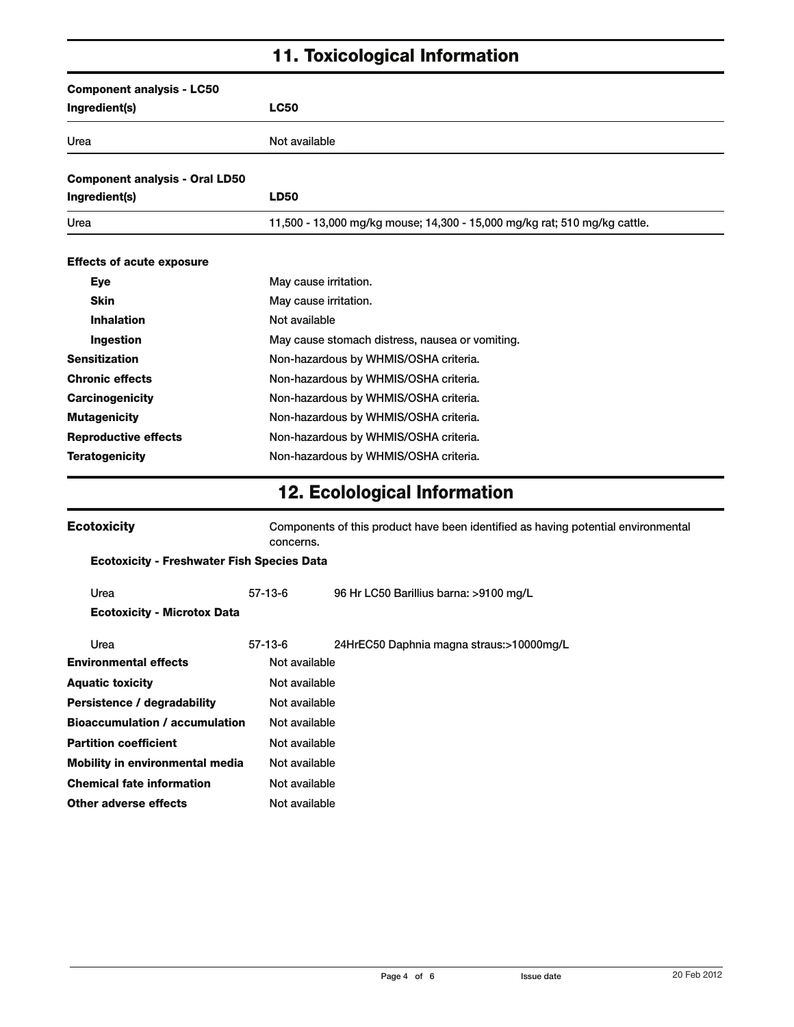## 11. Toxicological Information

| <b>Component analysis - LC50</b><br>Ingredient(s) | <b>LC50</b>   |                                                                                                |  |  |
|---------------------------------------------------|---------------|------------------------------------------------------------------------------------------------|--|--|
| Urea                                              | Not available |                                                                                                |  |  |
|                                                   |               |                                                                                                |  |  |
| <b>Component analysis - Oral LD50</b>             |               |                                                                                                |  |  |
| Ingredient(s)                                     | <b>LD50</b>   |                                                                                                |  |  |
| Urea                                              |               | 11,500 - 13,000 mg/kg mouse; 14,300 - 15,000 mg/kg rat; 510 mg/kg cattle.                      |  |  |
| <b>Effects of acute exposure</b>                  |               |                                                                                                |  |  |
| Eye                                               |               | May cause irritation.                                                                          |  |  |
| Skin                                              |               | May cause irritation.                                                                          |  |  |
| <b>Inhalation</b>                                 | Not available |                                                                                                |  |  |
| Ingestion                                         |               | May cause stomach distress, nausea or vomiting.                                                |  |  |
| <b>Sensitization</b>                              |               | Non-hazardous by WHMIS/OSHA criteria.                                                          |  |  |
| <b>Chronic effects</b>                            |               | Non-hazardous by WHMIS/OSHA criteria.                                                          |  |  |
| <b>Carcinogenicity</b>                            |               | Non-hazardous by WHMIS/OSHA criteria.                                                          |  |  |
| <b>Mutagenicity</b>                               |               | Non-hazardous by WHMIS/OSHA criteria.                                                          |  |  |
| <b>Reproductive effects</b>                       |               | Non-hazardous by WHMIS/OSHA criteria.                                                          |  |  |
| <b>Teratogenicity</b>                             |               | Non-hazardous by WHMIS/OSHA criteria.                                                          |  |  |
|                                                   |               | <b>12. Ecolological Information</b>                                                            |  |  |
| <b>Ecotoxicity</b>                                |               | Components of this product have been identified as having potential environmental<br>concerns. |  |  |
| <b>Ecotoxicity - Freshwater Fish Species Data</b> |               |                                                                                                |  |  |
| Urea                                              | $57-13-6$     | 96 Hr LC50 Barillius barna: >9100 mg/L                                                         |  |  |
| <b>Ecotoxicity - Microtox Data</b>                |               |                                                                                                |  |  |
| Urea                                              | $57-13-6$     | 24HrEC50 Daphnia magna straus:>10000mg/L                                                       |  |  |
| <b>Environmental effects</b>                      | Not available |                                                                                                |  |  |
| <b>Aquatic toxicity</b>                           |               | Not available                                                                                  |  |  |

Persistence / degradability Mot available Bioaccumulation / accumulation Not available Partition coefficient Not available Mobility in environmental media Not available Chemical fate information Not available Other adverse effects Mot available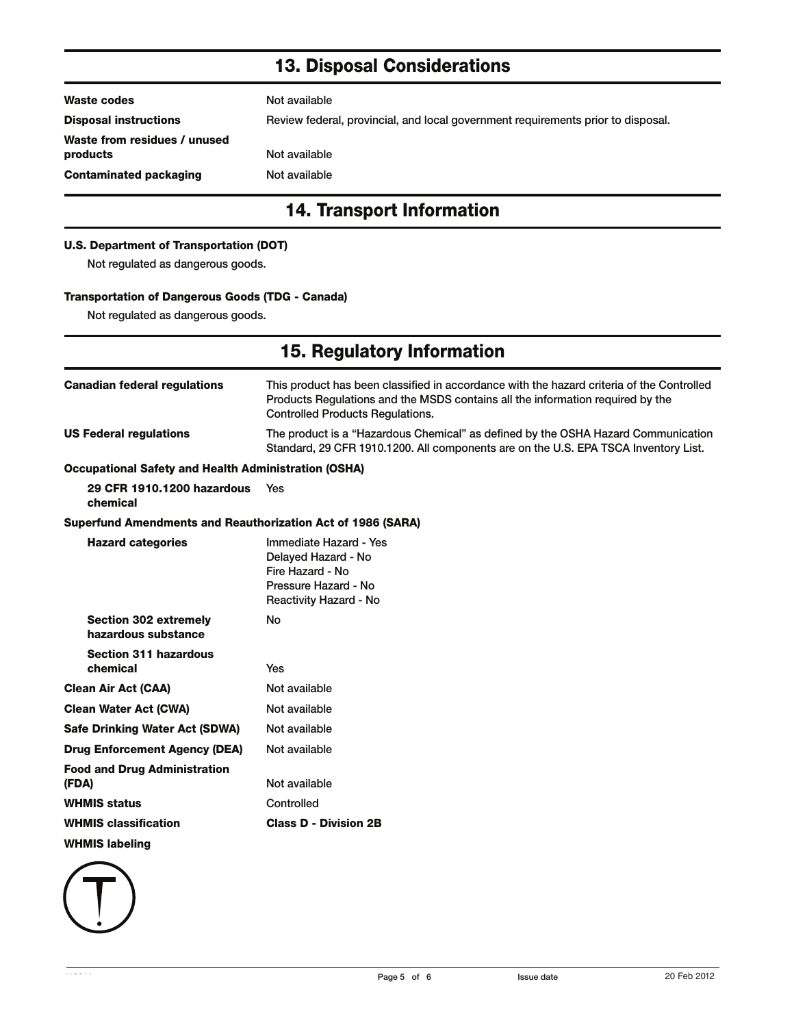## 13. Disposal Considerations

| Waste codes                              | Not available                                                                    |  |
|------------------------------------------|----------------------------------------------------------------------------------|--|
| <b>Disposal instructions</b>             | Review federal, provincial, and local government requirements prior to disposal. |  |
| Waste from residues / unused<br>products | Not available                                                                    |  |
| <b>Contaminated packaging</b>            | Not available                                                                    |  |
| <b>14. Transport Information</b>         |                                                                                  |  |
| U.S. Department of Transportation (DOT)  |                                                                                  |  |

Not regulated as dangerous goods.

#### Transportation of Dangerous Goods (TDG - Canada)

Not regulated as dangerous goods.

| 15. Regulatory Information                                         |                                                                                                                                                                                                                        |  |
|--------------------------------------------------------------------|------------------------------------------------------------------------------------------------------------------------------------------------------------------------------------------------------------------------|--|
| <b>Canadian federal regulations</b>                                | This product has been classified in accordance with the hazard criteria of the Controlled<br>Products Regulations and the MSDS contains all the information required by the<br><b>Controlled Products Regulations.</b> |  |
| <b>US Federal regulations</b>                                      | The product is a "Hazardous Chemical" as defined by the OSHA Hazard Communication<br>Standard, 29 CFR 1910.1200. All components are on the U.S. EPA TSCA Inventory List.                                               |  |
| <b>Occupational Safety and Health Administration (OSHA)</b>        |                                                                                                                                                                                                                        |  |
| 29 CFR 1910.1200 hazardous<br>chemical                             | Yes                                                                                                                                                                                                                    |  |
| <b>Superfund Amendments and Reauthorization Act of 1986 (SARA)</b> |                                                                                                                                                                                                                        |  |
| <b>Hazard categories</b>                                           | Immediate Hazard - Yes<br>Delayed Hazard - No<br>Fire Hazard - No<br>Pressure Hazard - No<br>Reactivity Hazard - No                                                                                                    |  |
| <b>Section 302 extremely</b><br>hazardous substance                | <b>No</b>                                                                                                                                                                                                              |  |
| <b>Section 311 hazardous</b><br>chemical                           | <b>Yes</b>                                                                                                                                                                                                             |  |
| <b>Clean Air Act (CAA)</b>                                         | Not available                                                                                                                                                                                                          |  |
| <b>Clean Water Act (CWA)</b>                                       | Not available                                                                                                                                                                                                          |  |
| <b>Safe Drinking Water Act (SDWA)</b>                              | Not available                                                                                                                                                                                                          |  |
| <b>Drug Enforcement Agency (DEA)</b>                               | Not available                                                                                                                                                                                                          |  |
| <b>Food and Drug Administration</b><br>(FDA)                       | Not available                                                                                                                                                                                                          |  |
| <b>WHMIS status</b>                                                | Controlled                                                                                                                                                                                                             |  |
| <b>WHMIS classification</b>                                        | <b>Class D - Division 2B</b>                                                                                                                                                                                           |  |
| <b>WHMIS labeling</b>                                              |                                                                                                                                                                                                                        |  |